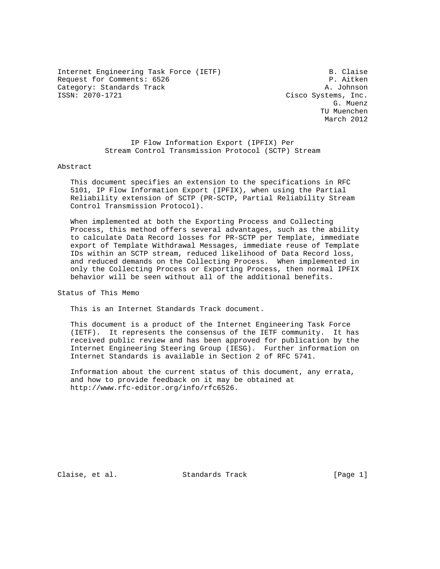Internet Engineering Task Force (IETF) B. Claise Request for Comments: 6526 P. Aitken Category: Standards Track and the Category: Standards Track A. Johnson<br>
ISSN: 2070-1721 Cisco Systems. Inc.

Cisco Systems, Inc. G. Muenz TU Muenchen March 2012

> IP Flow Information Export (IPFIX) Per Stream Control Transmission Protocol (SCTP) Stream

Abstract

 This document specifies an extension to the specifications in RFC 5101, IP Flow Information Export (IPFIX), when using the Partial Reliability extension of SCTP (PR-SCTP, Partial Reliability Stream Control Transmission Protocol).

 When implemented at both the Exporting Process and Collecting Process, this method offers several advantages, such as the ability to calculate Data Record losses for PR-SCTP per Template, immediate export of Template Withdrawal Messages, immediate reuse of Template IDs within an SCTP stream, reduced likelihood of Data Record loss, and reduced demands on the Collecting Process. When implemented in only the Collecting Process or Exporting Process, then normal IPFIX behavior will be seen without all of the additional benefits.

Status of This Memo

This is an Internet Standards Track document.

 This document is a product of the Internet Engineering Task Force (IETF). It represents the consensus of the IETF community. It has received public review and has been approved for publication by the Internet Engineering Steering Group (IESG). Further information on Internet Standards is available in Section 2 of RFC 5741.

 Information about the current status of this document, any errata, and how to provide feedback on it may be obtained at http://www.rfc-editor.org/info/rfc6526.

Claise, et al. Standards Track [Page 1]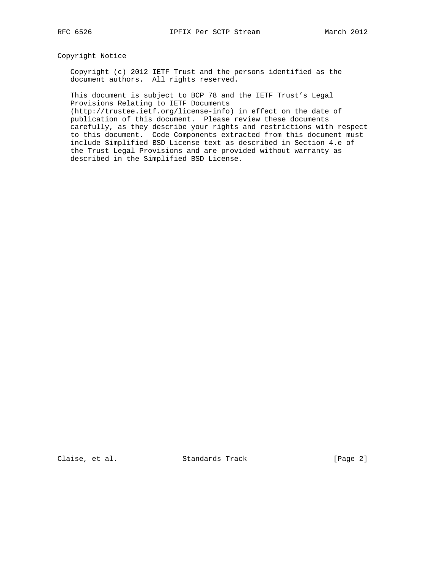# Copyright Notice

 Copyright (c) 2012 IETF Trust and the persons identified as the document authors. All rights reserved.

 This document is subject to BCP 78 and the IETF Trust's Legal Provisions Relating to IETF Documents

 (http://trustee.ietf.org/license-info) in effect on the date of publication of this document. Please review these documents carefully, as they describe your rights and restrictions with respect to this document. Code Components extracted from this document must include Simplified BSD License text as described in Section 4.e of the Trust Legal Provisions and are provided without warranty as described in the Simplified BSD License.

Claise, et al. Standards Track [Page 2]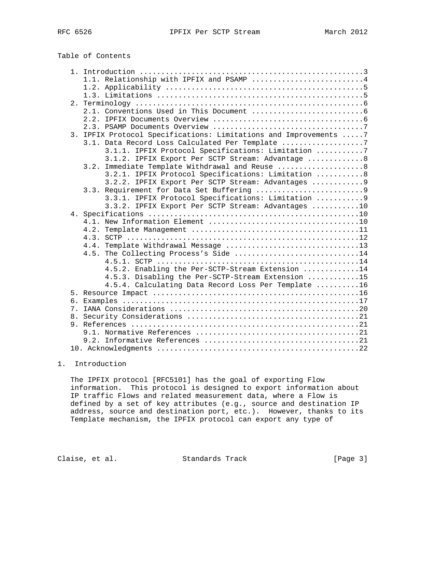| 1.1. Relationship with IPFIX and PSAMP 4                          |  |
|-------------------------------------------------------------------|--|
|                                                                   |  |
|                                                                   |  |
|                                                                   |  |
|                                                                   |  |
|                                                                   |  |
|                                                                   |  |
| 3. IPFIX Protocol Specifications: Limitations and Improvements  7 |  |
| 3.1. Data Record Loss Calculated Per Template 7                   |  |
| 3.1.1. IPFIX Protocol Specifications: Limitation 7                |  |
| 3.1.2. IPFIX Export Per SCTP Stream: Advantage  8                 |  |
| 3.2. Immediate Template Withdrawal and Reuse  8                   |  |
| 3.2.1. IPFIX Protocol Specifications: Limitation 8                |  |
| 3.2.2. IPFIX Export Per SCTP Stream: Advantages  9                |  |
|                                                                   |  |
| 3.3.1. IPFIX Protocol Specifications: Limitation  9               |  |
| 3.3.2. IPFIX Export Per SCTP Stream: Advantages 10                |  |
|                                                                   |  |
|                                                                   |  |
|                                                                   |  |
| 4.4. Template Withdrawal Message 13                               |  |
| 4.5. The Collecting Process's Side 14                             |  |
|                                                                   |  |
| 4.5.2. Enabling the Per-SCTP-Stream Extension 14                  |  |
| 4.5.3. Disabling the Per-SCTP-Stream Extension 15                 |  |
| 4.5.4. Calculating Data Record Loss Per Template 16               |  |
|                                                                   |  |
|                                                                   |  |
|                                                                   |  |
|                                                                   |  |
|                                                                   |  |
|                                                                   |  |
|                                                                   |  |
|                                                                   |  |

# 1. Introduction

 The IPFIX protocol [RFC5101] has the goal of exporting Flow information. This protocol is designed to export information about IP traffic Flows and related measurement data, where a Flow is defined by a set of key attributes (e.g., source and destination IP address, source and destination port, etc.). However, thanks to its Template mechanism, the IPFIX protocol can export any type of

Claise, et al. Standards Track [Page 3]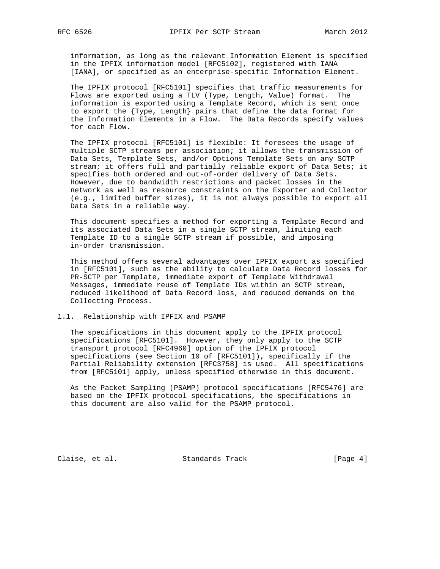information, as long as the relevant Information Element is specified in the IPFIX information model [RFC5102], registered with IANA [IANA], or specified as an enterprise-specific Information Element.

 The IPFIX protocol [RFC5101] specifies that traffic measurements for Flows are exported using a TLV (Type, Length, Value) format. The information is exported using a Template Record, which is sent once to export the {Type, Length} pairs that define the data format for the Information Elements in a Flow. The Data Records specify values for each Flow.

 The IPFIX protocol [RFC5101] is flexible: It foresees the usage of multiple SCTP streams per association; it allows the transmission of Data Sets, Template Sets, and/or Options Template Sets on any SCTP stream; it offers full and partially reliable export of Data Sets; it specifies both ordered and out-of-order delivery of Data Sets. However, due to bandwidth restrictions and packet losses in the network as well as resource constraints on the Exporter and Collector (e.g., limited buffer sizes), it is not always possible to export all Data Sets in a reliable way.

 This document specifies a method for exporting a Template Record and its associated Data Sets in a single SCTP stream, limiting each Template ID to a single SCTP stream if possible, and imposing in-order transmission.

 This method offers several advantages over IPFIX export as specified in [RFC5101], such as the ability to calculate Data Record losses for PR-SCTP per Template, immediate export of Template Withdrawal Messages, immediate reuse of Template IDs within an SCTP stream, reduced likelihood of Data Record loss, and reduced demands on the Collecting Process.

## 1.1. Relationship with IPFIX and PSAMP

 The specifications in this document apply to the IPFIX protocol specifications [RFC5101]. However, they only apply to the SCTP transport protocol [RFC4960] option of the IPFIX protocol specifications (see Section 10 of [RFC5101]), specifically if the Partial Reliability extension [RFC3758] is used. All specifications from [RFC5101] apply, unless specified otherwise in this document.

 As the Packet Sampling (PSAMP) protocol specifications [RFC5476] are based on the IPFIX protocol specifications, the specifications in this document are also valid for the PSAMP protocol.

Claise, et al. Standards Track [Page 4]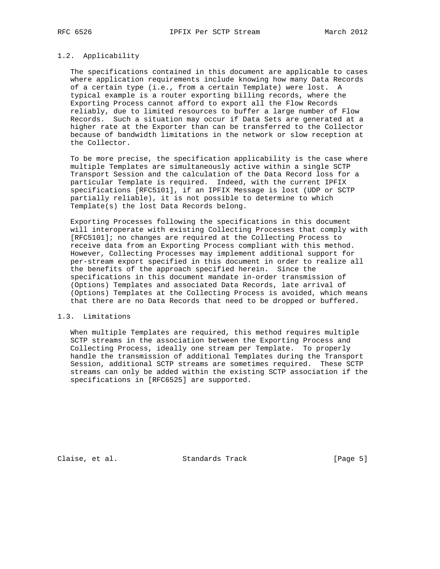#### 1.2. Applicability

 The specifications contained in this document are applicable to cases where application requirements include knowing how many Data Records of a certain type (i.e., from a certain Template) were lost. A typical example is a router exporting billing records, where the Exporting Process cannot afford to export all the Flow Records reliably, due to limited resources to buffer a large number of Flow Records. Such a situation may occur if Data Sets are generated at a higher rate at the Exporter than can be transferred to the Collector because of bandwidth limitations in the network or slow reception at the Collector.

 To be more precise, the specification applicability is the case where multiple Templates are simultaneously active within a single SCTP Transport Session and the calculation of the Data Record loss for a particular Template is required. Indeed, with the current IPFIX specifications [RFC5101], if an IPFIX Message is lost (UDP or SCTP partially reliable), it is not possible to determine to which Template(s) the lost Data Records belong.

 Exporting Processes following the specifications in this document will interoperate with existing Collecting Processes that comply with [RFC5101]; no changes are required at the Collecting Process to receive data from an Exporting Process compliant with this method. However, Collecting Processes may implement additional support for per-stream export specified in this document in order to realize all the benefits of the approach specified herein. Since the specifications in this document mandate in-order transmission of (Options) Templates and associated Data Records, late arrival of (Options) Templates at the Collecting Process is avoided, which means that there are no Data Records that need to be dropped or buffered.

## 1.3. Limitations

 When multiple Templates are required, this method requires multiple SCTP streams in the association between the Exporting Process and Collecting Process, ideally one stream per Template. To properly handle the transmission of additional Templates during the Transport Session, additional SCTP streams are sometimes required. These SCTP streams can only be added within the existing SCTP association if the specifications in [RFC6525] are supported.

Claise, et al. Standards Track [Page 5]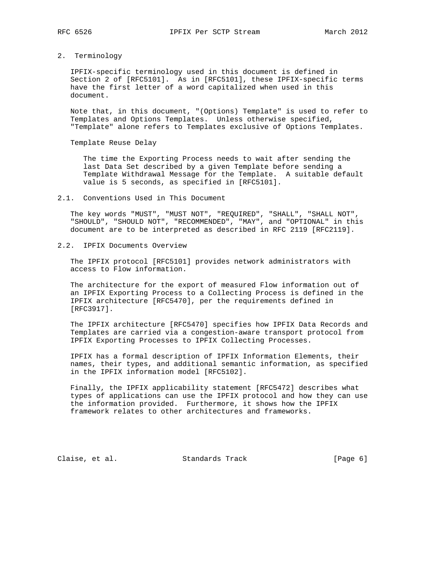#### 2. Terminology

 IPFIX-specific terminology used in this document is defined in Section 2 of [RFC5101]. As in [RFC5101], these IPFIX-specific terms have the first letter of a word capitalized when used in this document.

 Note that, in this document, "(Options) Template" is used to refer to Templates and Options Templates. Unless otherwise specified, "Template" alone refers to Templates exclusive of Options Templates.

Template Reuse Delay

 The time the Exporting Process needs to wait after sending the last Data Set described by a given Template before sending a Template Withdrawal Message for the Template. A suitable default value is 5 seconds, as specified in [RFC5101].

### 2.1. Conventions Used in This Document

 The key words "MUST", "MUST NOT", "REQUIRED", "SHALL", "SHALL NOT", "SHOULD", "SHOULD NOT", "RECOMMENDED", "MAY", and "OPTIONAL" in this document are to be interpreted as described in RFC 2119 [RFC2119].

# 2.2. IPFIX Documents Overview

 The IPFIX protocol [RFC5101] provides network administrators with access to Flow information.

 The architecture for the export of measured Flow information out of an IPFIX Exporting Process to a Collecting Process is defined in the IPFIX architecture [RFC5470], per the requirements defined in [RFC3917].

 The IPFIX architecture [RFC5470] specifies how IPFIX Data Records and Templates are carried via a congestion-aware transport protocol from IPFIX Exporting Processes to IPFIX Collecting Processes.

 IPFIX has a formal description of IPFIX Information Elements, their names, their types, and additional semantic information, as specified in the IPFIX information model [RFC5102].

 Finally, the IPFIX applicability statement [RFC5472] describes what types of applications can use the IPFIX protocol and how they can use the information provided. Furthermore, it shows how the IPFIX framework relates to other architectures and frameworks.

Claise, et al. Standards Track [Page 6]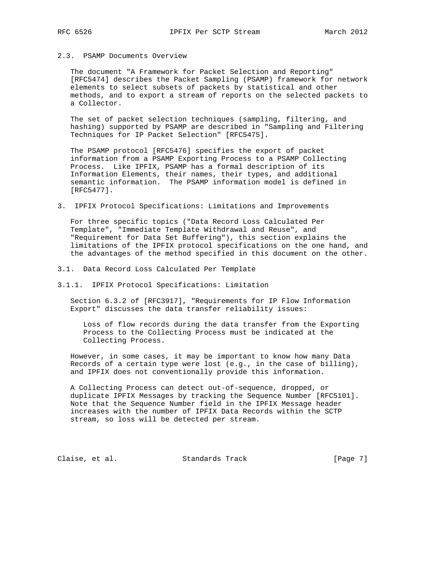# 2.3. PSAMP Documents Overview

 The document "A Framework for Packet Selection and Reporting" [RFC5474] describes the Packet Sampling (PSAMP) framework for network elements to select subsets of packets by statistical and other methods, and to export a stream of reports on the selected packets to a Collector.

 The set of packet selection techniques (sampling, filtering, and hashing) supported by PSAMP are described in "Sampling and Filtering Techniques for IP Packet Selection" [RFC5475].

 The PSAMP protocol [RFC5476] specifies the export of packet information from a PSAMP Exporting Process to a PSAMP Collecting Process. Like IPFIX, PSAMP has a formal description of its Information Elements, their names, their types, and additional semantic information. The PSAMP information model is defined in [RFC5477].

3. IPFIX Protocol Specifications: Limitations and Improvements

 For three specific topics ("Data Record Loss Calculated Per Template", "Immediate Template Withdrawal and Reuse", and "Requirement for Data Set Buffering"), this section explains the limitations of the IPFIX protocol specifications on the one hand, and the advantages of the method specified in this document on the other.

- 3.1. Data Record Loss Calculated Per Template
- 3.1.1. IPFIX Protocol Specifications: Limitation

 Section 6.3.2 of [RFC3917], "Requirements for IP Flow Information Export" discusses the data transfer reliability issues:

 Loss of flow records during the data transfer from the Exporting Process to the Collecting Process must be indicated at the Collecting Process.

 However, in some cases, it may be important to know how many Data Records of a certain type were lost (e.g., in the case of billing), and IPFIX does not conventionally provide this information.

 A Collecting Process can detect out-of-sequence, dropped, or duplicate IPFIX Messages by tracking the Sequence Number [RFC5101]. Note that the Sequence Number field in the IPFIX Message header increases with the number of IPFIX Data Records within the SCTP stream, so loss will be detected per stream.

Claise, et al. Standards Track [Page 7]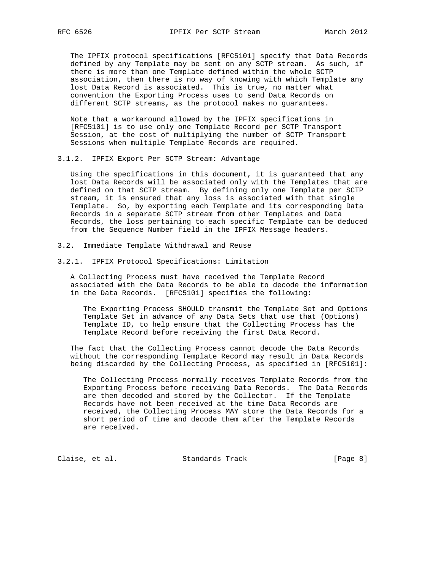The IPFIX protocol specifications [RFC5101] specify that Data Records defined by any Template may be sent on any SCTP stream. As such, if there is more than one Template defined within the whole SCTP association, then there is no way of knowing with which Template any lost Data Record is associated. This is true, no matter what convention the Exporting Process uses to send Data Records on different SCTP streams, as the protocol makes no guarantees.

 Note that a workaround allowed by the IPFIX specifications in [RFC5101] is to use only one Template Record per SCTP Transport Session, at the cost of multiplying the number of SCTP Transport Sessions when multiple Template Records are required.

3.1.2. IPFIX Export Per SCTP Stream: Advantage

 Using the specifications in this document, it is guaranteed that any lost Data Records will be associated only with the Templates that are defined on that SCTP stream. By defining only one Template per SCTP stream, it is ensured that any loss is associated with that single Template. So, by exporting each Template and its corresponding Data Records in a separate SCTP stream from other Templates and Data Records, the loss pertaining to each specific Template can be deduced from the Sequence Number field in the IPFIX Message headers.

- 3.2. Immediate Template Withdrawal and Reuse
- 3.2.1. IPFIX Protocol Specifications: Limitation

 A Collecting Process must have received the Template Record associated with the Data Records to be able to decode the information in the Data Records. [RFC5101] specifies the following:

 The Exporting Process SHOULD transmit the Template Set and Options Template Set in advance of any Data Sets that use that (Options) Template ID, to help ensure that the Collecting Process has the Template Record before receiving the first Data Record.

 The fact that the Collecting Process cannot decode the Data Records without the corresponding Template Record may result in Data Records being discarded by the Collecting Process, as specified in [RFC5101]:

 The Collecting Process normally receives Template Records from the Exporting Process before receiving Data Records. The Data Records are then decoded and stored by the Collector. If the Template Records have not been received at the time Data Records are received, the Collecting Process MAY store the Data Records for a short period of time and decode them after the Template Records are received.

Claise, et al. Standards Track [Page 8]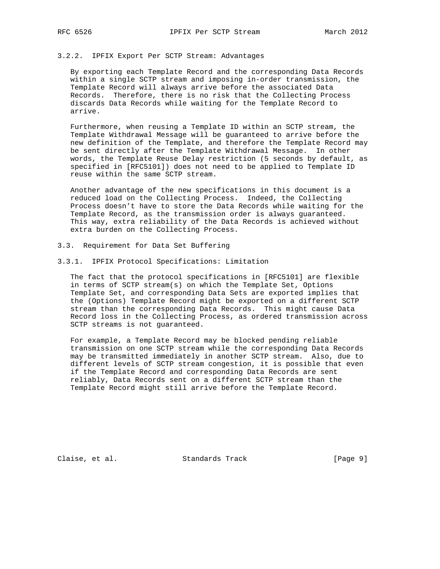### 3.2.2. IPFIX Export Per SCTP Stream: Advantages

 By exporting each Template Record and the corresponding Data Records within a single SCTP stream and imposing in-order transmission, the Template Record will always arrive before the associated Data Records. Therefore, there is no risk that the Collecting Process discards Data Records while waiting for the Template Record to arrive.

 Furthermore, when reusing a Template ID within an SCTP stream, the Template Withdrawal Message will be guaranteed to arrive before the new definition of the Template, and therefore the Template Record may be sent directly after the Template Withdrawal Message. In other words, the Template Reuse Delay restriction (5 seconds by default, as specified in [RFC5101]) does not need to be applied to Template ID reuse within the same SCTP stream.

 Another advantage of the new specifications in this document is a reduced load on the Collecting Process. Indeed, the Collecting Process doesn't have to store the Data Records while waiting for the Template Record, as the transmission order is always guaranteed. This way, extra reliability of the Data Records is achieved without extra burden on the Collecting Process.

- 3.3. Requirement for Data Set Buffering
- 3.3.1. IPFIX Protocol Specifications: Limitation

 The fact that the protocol specifications in [RFC5101] are flexible in terms of SCTP stream(s) on which the Template Set, Options Template Set, and corresponding Data Sets are exported implies that the (Options) Template Record might be exported on a different SCTP stream than the corresponding Data Records. This might cause Data Record loss in the Collecting Process, as ordered transmission across SCTP streams is not guaranteed.

 For example, a Template Record may be blocked pending reliable transmission on one SCTP stream while the corresponding Data Records may be transmitted immediately in another SCTP stream. Also, due to different levels of SCTP stream congestion, it is possible that even if the Template Record and corresponding Data Records are sent reliably, Data Records sent on a different SCTP stream than the Template Record might still arrive before the Template Record.

Claise, et al. Standards Track [Page 9]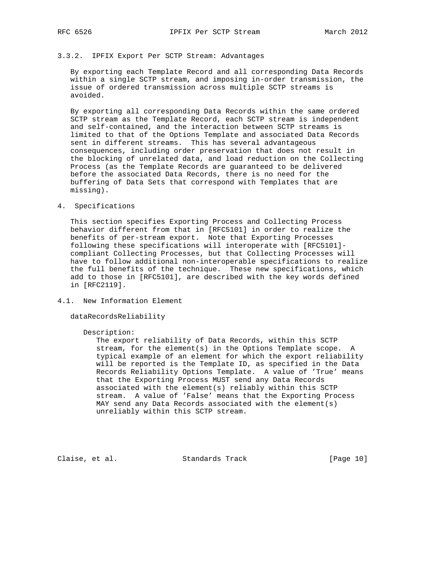## 3.3.2. IPFIX Export Per SCTP Stream: Advantages

 By exporting each Template Record and all corresponding Data Records within a single SCTP stream, and imposing in-order transmission, the issue of ordered transmission across multiple SCTP streams is avoided.

 By exporting all corresponding Data Records within the same ordered SCTP stream as the Template Record, each SCTP stream is independent and self-contained, and the interaction between SCTP streams is limited to that of the Options Template and associated Data Records sent in different streams. This has several advantageous consequences, including order preservation that does not result in the blocking of unrelated data, and load reduction on the Collecting Process (as the Template Records are guaranteed to be delivered before the associated Data Records, there is no need for the buffering of Data Sets that correspond with Templates that are missing).

4. Specifications

 This section specifies Exporting Process and Collecting Process behavior different from that in [RFC5101] in order to realize the benefits of per-stream export. Note that Exporting Processes following these specifications will interoperate with [RFC5101] compliant Collecting Processes, but that Collecting Processes will have to follow additional non-interoperable specifications to realize the full benefits of the technique. These new specifications, which add to those in [RFC5101], are described with the key words defined in [RFC2119].

4.1. New Information Element

dataRecordsReliability

### Description:

 The export reliability of Data Records, within this SCTP stream, for the element(s) in the Options Template scope. A typical example of an element for which the export reliability will be reported is the Template ID, as specified in the Data Records Reliability Options Template. A value of 'True' means that the Exporting Process MUST send any Data Records associated with the element(s) reliably within this SCTP stream. A value of 'False' means that the Exporting Process MAY send any Data Records associated with the element(s) unreliably within this SCTP stream.

Claise, et al. Standards Track [Page 10]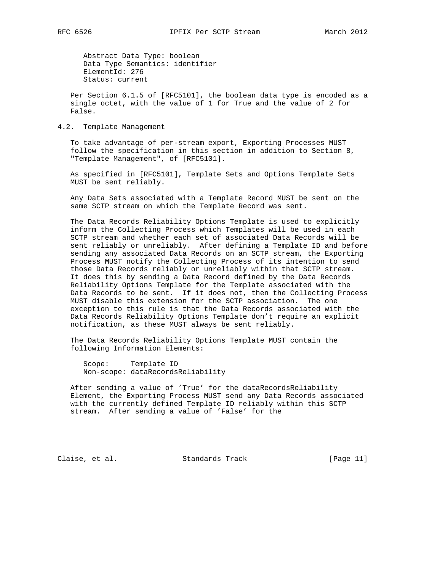Abstract Data Type: boolean Data Type Semantics: identifier ElementId: 276 Status: current

 Per Section 6.1.5 of [RFC5101], the boolean data type is encoded as a single octet, with the value of 1 for True and the value of 2 for False.

4.2. Template Management

 To take advantage of per-stream export, Exporting Processes MUST follow the specification in this section in addition to Section 8, "Template Management", of [RFC5101].

 As specified in [RFC5101], Template Sets and Options Template Sets MUST be sent reliably.

 Any Data Sets associated with a Template Record MUST be sent on the same SCTP stream on which the Template Record was sent.

 The Data Records Reliability Options Template is used to explicitly inform the Collecting Process which Templates will be used in each SCTP stream and whether each set of associated Data Records will be sent reliably or unreliably. After defining a Template ID and before sending any associated Data Records on an SCTP stream, the Exporting Process MUST notify the Collecting Process of its intention to send those Data Records reliably or unreliably within that SCTP stream. It does this by sending a Data Record defined by the Data Records Reliability Options Template for the Template associated with the Data Records to be sent. If it does not, then the Collecting Process MUST disable this extension for the SCTP association. The one exception to this rule is that the Data Records associated with the Data Records Reliability Options Template don't require an explicit notification, as these MUST always be sent reliably.

 The Data Records Reliability Options Template MUST contain the following Information Elements:

 Scope: Template ID Non-scope: dataRecordsReliability

 After sending a value of 'True' for the dataRecordsReliability Element, the Exporting Process MUST send any Data Records associated with the currently defined Template ID reliably within this SCTP stream. After sending a value of 'False' for the

Claise, et al. Standards Track [Page 11]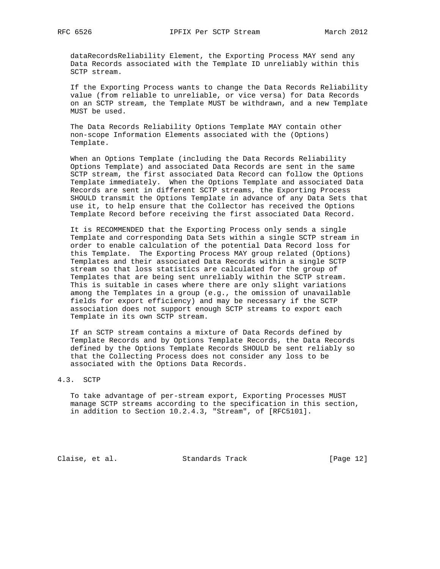dataRecordsReliability Element, the Exporting Process MAY send any Data Records associated with the Template ID unreliably within this SCTP stream.

 If the Exporting Process wants to change the Data Records Reliability value (from reliable to unreliable, or vice versa) for Data Records on an SCTP stream, the Template MUST be withdrawn, and a new Template MUST be used.

 The Data Records Reliability Options Template MAY contain other non-scope Information Elements associated with the (Options) Template.

 When an Options Template (including the Data Records Reliability Options Template) and associated Data Records are sent in the same SCTP stream, the first associated Data Record can follow the Options Template immediately. When the Options Template and associated Data Records are sent in different SCTP streams, the Exporting Process SHOULD transmit the Options Template in advance of any Data Sets that use it, to help ensure that the Collector has received the Options Template Record before receiving the first associated Data Record.

 It is RECOMMENDED that the Exporting Process only sends a single Template and corresponding Data Sets within a single SCTP stream in order to enable calculation of the potential Data Record loss for this Template. The Exporting Process MAY group related (Options) Templates and their associated Data Records within a single SCTP stream so that loss statistics are calculated for the group of Templates that are being sent unreliably within the SCTP stream. This is suitable in cases where there are only slight variations among the Templates in a group (e.g., the omission of unavailable fields for export efficiency) and may be necessary if the SCTP association does not support enough SCTP streams to export each Template in its own SCTP stream.

 If an SCTP stream contains a mixture of Data Records defined by Template Records and by Options Template Records, the Data Records defined by the Options Template Records SHOULD be sent reliably so that the Collecting Process does not consider any loss to be associated with the Options Data Records.

# 4.3. SCTP

 To take advantage of per-stream export, Exporting Processes MUST manage SCTP streams according to the specification in this section, in addition to Section 10.2.4.3, "Stream", of [RFC5101].

Claise, et al. Standards Track [Page 12]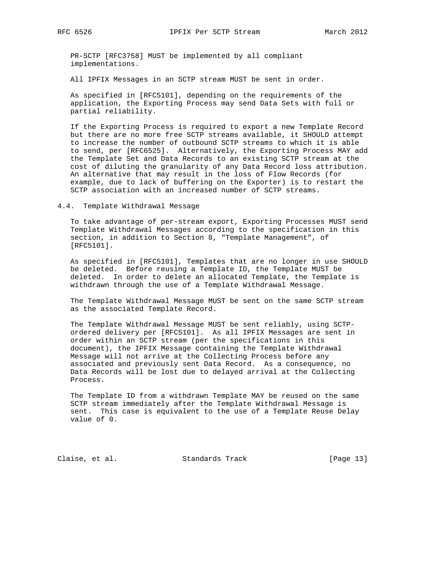PR-SCTP [RFC3758] MUST be implemented by all compliant implementations.

All IPFIX Messages in an SCTP stream MUST be sent in order.

 As specified in [RFC5101], depending on the requirements of the application, the Exporting Process may send Data Sets with full or partial reliability.

 If the Exporting Process is required to export a new Template Record but there are no more free SCTP streams available, it SHOULD attempt to increase the number of outbound SCTP streams to which it is able to send, per [RFC6525]. Alternatively, the Exporting Process MAY add the Template Set and Data Records to an existing SCTP stream at the cost of diluting the granularity of any Data Record loss attribution. An alternative that may result in the loss of Flow Records (for example, due to lack of buffering on the Exporter) is to restart the SCTP association with an increased number of SCTP streams.

4.4. Template Withdrawal Message

 To take advantage of per-stream export, Exporting Processes MUST send Template Withdrawal Messages according to the specification in this section, in addition to Section 8, "Template Management", of [RFC5101].

 As specified in [RFC5101], Templates that are no longer in use SHOULD be deleted. Before reusing a Template ID, the Template MUST be deleted. In order to delete an allocated Template, the Template is withdrawn through the use of a Template Withdrawal Message.

 The Template Withdrawal Message MUST be sent on the same SCTP stream as the associated Template Record.

 The Template Withdrawal Message MUST be sent reliably, using SCTP ordered delivery per [RFC5101]. As all IPFIX Messages are sent in order within an SCTP stream (per the specifications in this document), the IPFIX Message containing the Template Withdrawal Message will not arrive at the Collecting Process before any associated and previously sent Data Record. As a consequence, no Data Records will be lost due to delayed arrival at the Collecting Process.

 The Template ID from a withdrawn Template MAY be reused on the same SCTP stream immediately after the Template Withdrawal Message is sent. This case is equivalent to the use of a Template Reuse Delay value of 0.

Claise, et al. Standards Track [Page 13]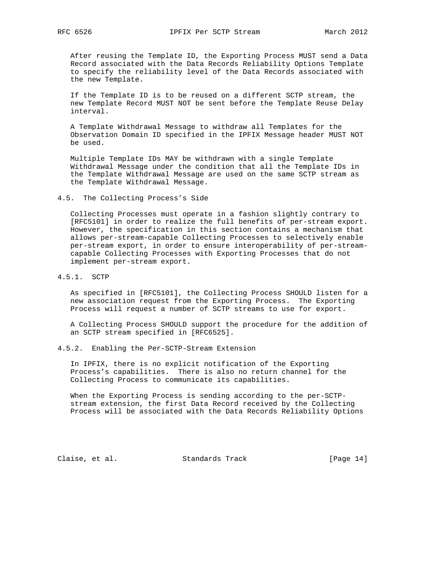After reusing the Template ID, the Exporting Process MUST send a Data Record associated with the Data Records Reliability Options Template to specify the reliability level of the Data Records associated with the new Template.

 If the Template ID is to be reused on a different SCTP stream, the new Template Record MUST NOT be sent before the Template Reuse Delay interval.

 A Template Withdrawal Message to withdraw all Templates for the Observation Domain ID specified in the IPFIX Message header MUST NOT be used.

 Multiple Template IDs MAY be withdrawn with a single Template Withdrawal Message under the condition that all the Template IDs in the Template Withdrawal Message are used on the same SCTP stream as the Template Withdrawal Message.

4.5. The Collecting Process's Side

 Collecting Processes must operate in a fashion slightly contrary to [RFC5101] in order to realize the full benefits of per-stream export. However, the specification in this section contains a mechanism that allows per-stream-capable Collecting Processes to selectively enable per-stream export, in order to ensure interoperability of per-stream capable Collecting Processes with Exporting Processes that do not implement per-stream export.

4.5.1. SCTP

 As specified in [RFC5101], the Collecting Process SHOULD listen for a new association request from the Exporting Process. The Exporting Process will request a number of SCTP streams to use for export.

 A Collecting Process SHOULD support the procedure for the addition of an SCTP stream specified in [RFC6525].

4.5.2. Enabling the Per-SCTP-Stream Extension

 In IPFIX, there is no explicit notification of the Exporting Process's capabilities. There is also no return channel for the Collecting Process to communicate its capabilities.

 When the Exporting Process is sending according to the per-SCTP stream extension, the first Data Record received by the Collecting Process will be associated with the Data Records Reliability Options

Claise, et al. Standards Track [Page 14]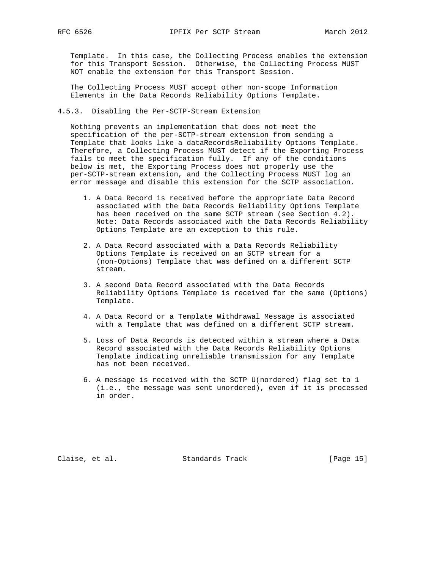Template. In this case, the Collecting Process enables the extension for this Transport Session. Otherwise, the Collecting Process MUST NOT enable the extension for this Transport Session.

 The Collecting Process MUST accept other non-scope Information Elements in the Data Records Reliability Options Template.

4.5.3. Disabling the Per-SCTP-Stream Extension

 Nothing prevents an implementation that does not meet the specification of the per-SCTP-stream extension from sending a Template that looks like a dataRecordsReliability Options Template. Therefore, a Collecting Process MUST detect if the Exporting Process fails to meet the specification fully. If any of the conditions below is met, the Exporting Process does not properly use the per-SCTP-stream extension, and the Collecting Process MUST log an error message and disable this extension for the SCTP association.

- 1. A Data Record is received before the appropriate Data Record associated with the Data Records Reliability Options Template has been received on the same SCTP stream (see Section 4.2). Note: Data Records associated with the Data Records Reliability Options Template are an exception to this rule.
- 2. A Data Record associated with a Data Records Reliability Options Template is received on an SCTP stream for a (non-Options) Template that was defined on a different SCTP stream.
- 3. A second Data Record associated with the Data Records Reliability Options Template is received for the same (Options) Template.
- 4. A Data Record or a Template Withdrawal Message is associated with a Template that was defined on a different SCTP stream.
- 5. Loss of Data Records is detected within a stream where a Data Record associated with the Data Records Reliability Options Template indicating unreliable transmission for any Template has not been received.
- 6. A message is received with the SCTP U(nordered) flag set to 1 (i.e., the message was sent unordered), even if it is processed in order.

Claise, et al. Standards Track [Page 15]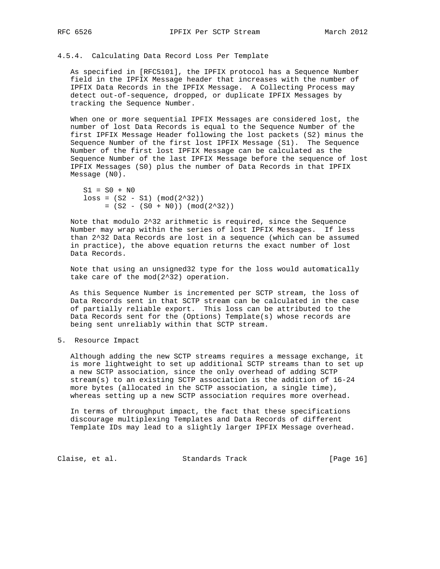## 4.5.4. Calculating Data Record Loss Per Template

 As specified in [RFC5101], the IPFIX protocol has a Sequence Number field in the IPFIX Message header that increases with the number of IPFIX Data Records in the IPFIX Message. A Collecting Process may detect out-of-sequence, dropped, or duplicate IPFIX Messages by tracking the Sequence Number.

 When one or more sequential IPFIX Messages are considered lost, the number of lost Data Records is equal to the Sequence Number of the first IPFIX Message Header following the lost packets (S2) minus the Sequence Number of the first lost IPFIX Message (S1). The Sequence Number of the first lost IPFIX Message can be calculated as the Sequence Number of the last IPFIX Message before the sequence of lost IPFIX Messages (S0) plus the number of Data Records in that IPFIX Message (N0).

```
S1 = S0 + N0loss = (S2 - S1) (mod(2^32))= (S2 - (S0 + N0)) (mod(2^32))
```
 Note that modulo 2^32 arithmetic is required, since the Sequence Number may wrap within the series of lost IPFIX Messages. If less than 2^32 Data Records are lost in a sequence (which can be assumed in practice), the above equation returns the exact number of lost Data Records.

 Note that using an unsigned32 type for the loss would automatically take care of the mod(2^32) operation.

 As this Sequence Number is incremented per SCTP stream, the loss of Data Records sent in that SCTP stream can be calculated in the case of partially reliable export. This loss can be attributed to the Data Records sent for the (Options) Template(s) whose records are being sent unreliably within that SCTP stream.

5. Resource Impact

 Although adding the new SCTP streams requires a message exchange, it is more lightweight to set up additional SCTP streams than to set up a new SCTP association, since the only overhead of adding SCTP stream(s) to an existing SCTP association is the addition of 16-24 more bytes (allocated in the SCTP association, a single time), whereas setting up a new SCTP association requires more overhead.

 In terms of throughput impact, the fact that these specifications discourage multiplexing Templates and Data Records of different Template IDs may lead to a slightly larger IPFIX Message overhead.

Claise, et al. Standards Track [Page 16]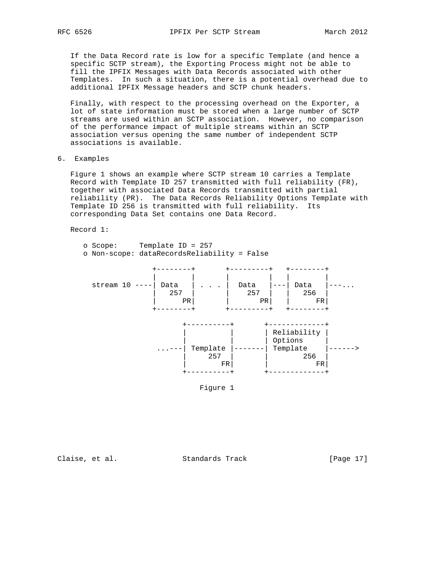If the Data Record rate is low for a specific Template (and hence a specific SCTP stream), the Exporting Process might not be able to fill the IPFIX Messages with Data Records associated with other Templates. In such a situation, there is a potential overhead due to additional IPFIX Message headers and SCTP chunk headers.

 Finally, with respect to the processing overhead on the Exporter, a lot of state information must be stored when a large number of SCTP streams are used within an SCTP association. However, no comparison of the performance impact of multiple streams within an SCTP association versus opening the same number of independent SCTP associations is available.

6. Examples

 Figure 1 shows an example where SCTP stream 10 carries a Template Record with Template ID 257 transmitted with full reliability (FR), together with associated Data Records transmitted with partial reliability (PR). The Data Records Reliability Options Template with Template ID 256 is transmitted with full reliability. Its corresponding Data Set contains one Data Record.

Record 1:

| o Scope:<br>o Non-scope: dataRecordsReliability = False | Template ID = $257$                           |                   |                   |  |
|---------------------------------------------------------|-----------------------------------------------|-------------------|-------------------|--|
| stream 10                                               | Data<br>$\cdot$ $\cdot$ $\cdot$<br>257<br>PR. | Data<br>257<br>PR | Data<br>256<br>FR |  |
|                                                         |                                               |                   | Reliability       |  |

 | | | Options | ...---| Template |-------| Template |------> | 257 | | 256 | | FR| | FR| +----------+ +-------------+



Claise, et al. Standards Track [Page 17]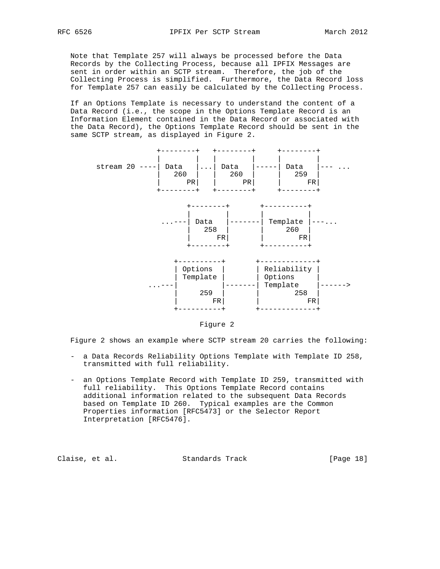Note that Template 257 will always be processed before the Data Records by the Collecting Process, because all IPFIX Messages are sent in order within an SCTP stream. Therefore, the job of the Collecting Process is simplified. Furthermore, the Data Record loss for Template 257 can easily be calculated by the Collecting Process.

 If an Options Template is necessary to understand the content of a Data Record (i.e., the scope in the Options Template Record is an Information Element contained in the Data Record or associated with the Data Record), the Options Template Record should be sent in the same SCTP stream, as displayed in Figure 2.



Figure 2

Figure 2 shows an example where SCTP stream 20 carries the following:

- a Data Records Reliability Options Template with Template ID 258, transmitted with full reliability.
- an Options Template Record with Template ID 259, transmitted with full reliability. This Options Template Record contains additional information related to the subsequent Data Records based on Template ID 260. Typical examples are the Common Properties information [RFC5473] or the Selector Report Interpretation [RFC5476].

Claise, et al. Standards Track [Page 18]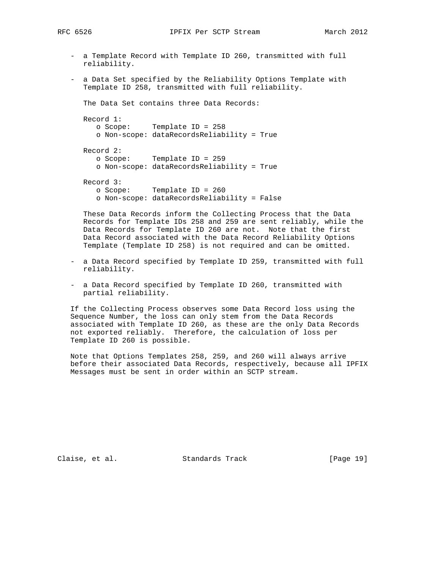- a Template Record with Template ID 260, transmitted with full reliability.
- a Data Set specified by the Reliability Options Template with Template ID 258, transmitted with full reliability.

The Data Set contains three Data Records:

 Record 1: o Scope: Template ID = 258 o Non-scope: dataRecordsReliability = True Record 2: o Scope: Template ID = 259 o Non-scope: dataRecordsReliability = True Record 3: o Scope: Template ID = 260 o Non-scope: dataRecordsReliability = False

 These Data Records inform the Collecting Process that the Data Records for Template IDs 258 and 259 are sent reliably, while the Data Records for Template ID 260 are not. Note that the first Data Record associated with the Data Record Reliability Options Template (Template ID 258) is not required and can be omitted.

- a Data Record specified by Template ID 259, transmitted with full reliability.
- a Data Record specified by Template ID 260, transmitted with partial reliability.

 If the Collecting Process observes some Data Record loss using the Sequence Number, the loss can only stem from the Data Records associated with Template ID 260, as these are the only Data Records not exported reliably. Therefore, the calculation of loss per Template ID 260 is possible.

 Note that Options Templates 258, 259, and 260 will always arrive before their associated Data Records, respectively, because all IPFIX Messages must be sent in order within an SCTP stream.

Claise, et al. Standards Track [Page 19]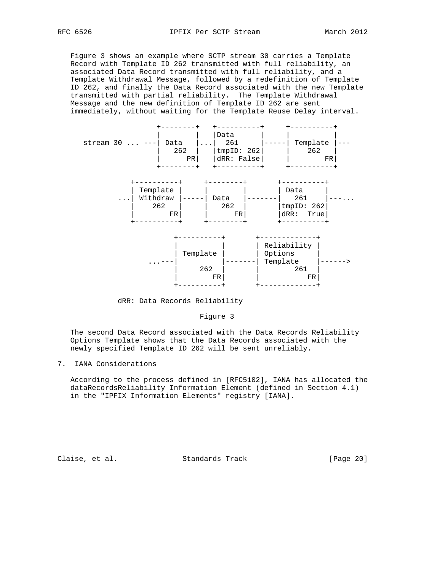Figure 3 shows an example where SCTP stream 30 carries a Template Record with Template ID 262 transmitted with full reliability, an associated Data Record transmitted with full reliability, and a Template Withdrawal Message, followed by a redefinition of Template ID 262, and finally the Data Record associated with the new Template transmitted with partial reliability. The Template Withdrawal Message and the new definition of Template ID 262 are sent immediately, without waiting for the Template Reuse Delay interval.



dRR: Data Records Reliability

## Figure 3

 The second Data Record associated with the Data Records Reliability Options Template shows that the Data Records associated with the newly specified Template ID 262 will be sent unreliably.

## 7. IANA Considerations

 According to the process defined in [RFC5102], IANA has allocated the dataRecordsReliability Information Element (defined in Section 4.1) in the "IPFIX Information Elements" registry [IANA].

Claise, et al. Standards Track [Page 20]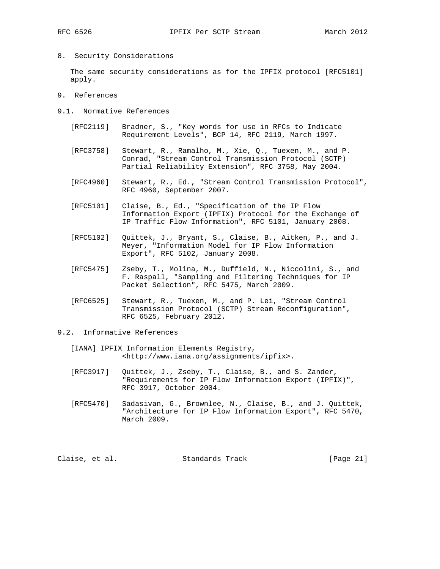8. Security Considerations

 The same security considerations as for the IPFIX protocol [RFC5101] apply.

- 9. References
- 9.1. Normative References
	- [RFC2119] Bradner, S., "Key words for use in RFCs to Indicate Requirement Levels", BCP 14, RFC 2119, March 1997.
	- [RFC3758] Stewart, R., Ramalho, M., Xie, Q., Tuexen, M., and P. Conrad, "Stream Control Transmission Protocol (SCTP) Partial Reliability Extension", RFC 3758, May 2004.
	- [RFC4960] Stewart, R., Ed., "Stream Control Transmission Protocol", RFC 4960, September 2007.
	- [RFC5101] Claise, B., Ed., "Specification of the IP Flow Information Export (IPFIX) Protocol for the Exchange of IP Traffic Flow Information", RFC 5101, January 2008.
	- [RFC5102] Quittek, J., Bryant, S., Claise, B., Aitken, P., and J. Meyer, "Information Model for IP Flow Information Export", RFC 5102, January 2008.
	- [RFC5475] Zseby, T., Molina, M., Duffield, N., Niccolini, S., and F. Raspall, "Sampling and Filtering Techniques for IP Packet Selection", RFC 5475, March 2009.
	- [RFC6525] Stewart, R., Tuexen, M., and P. Lei, "Stream Control Transmission Protocol (SCTP) Stream Reconfiguration", RFC 6525, February 2012.
- 9.2. Informative References
	- [IANA] IPFIX Information Elements Registry, <http://www.iana.org/assignments/ipfix>.
	- [RFC3917] Quittek, J., Zseby, T., Claise, B., and S. Zander, "Requirements for IP Flow Information Export (IPFIX)", RFC 3917, October 2004.
	- [RFC5470] Sadasivan, G., Brownlee, N., Claise, B., and J. Quittek, "Architecture for IP Flow Information Export", RFC 5470, March 2009.

Claise, et al. Standards Track [Page 21]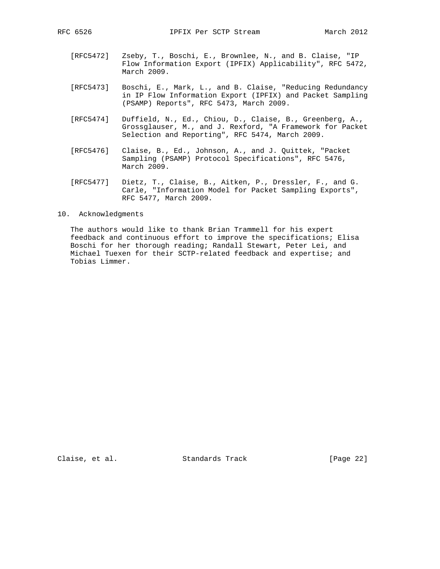- [RFC5472] Zseby, T., Boschi, E., Brownlee, N., and B. Claise, "IP Flow Information Export (IPFIX) Applicability", RFC 5472, March 2009.
- [RFC5473] Boschi, E., Mark, L., and B. Claise, "Reducing Redundancy in IP Flow Information Export (IPFIX) and Packet Sampling (PSAMP) Reports", RFC 5473, March 2009.
- [RFC5474] Duffield, N., Ed., Chiou, D., Claise, B., Greenberg, A., Grossglauser, M., and J. Rexford, "A Framework for Packet Selection and Reporting", RFC 5474, March 2009.
- [RFC5476] Claise, B., Ed., Johnson, A., and J. Quittek, "Packet Sampling (PSAMP) Protocol Specifications", RFC 5476, March 2009.
- [RFC5477] Dietz, T., Claise, B., Aitken, P., Dressler, F., and G. Carle, "Information Model for Packet Sampling Exports", RFC 5477, March 2009.
- 10. Acknowledgments

 The authors would like to thank Brian Trammell for his expert feedback and continuous effort to improve the specifications; Elisa Boschi for her thorough reading; Randall Stewart, Peter Lei, and Michael Tuexen for their SCTP-related feedback and expertise; and Tobias Limmer.

Claise, et al. Standards Track [Page 22]